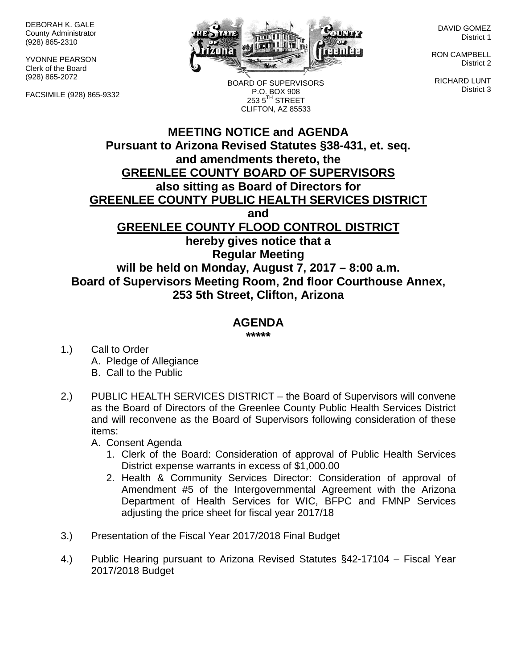DEBORAH K. GALE County Administrator (928) 865-2310

YVONNE PEARSON Clerk of the Board (928) 865-2072

FACSIMILE (928) 865-9332



BOARD OF SUPERVISORS P.O. BOX 908  $2535^{\text{TH}}$  STREET CLIFTON, AZ 85533

DAVID GOMEZ District 1

RON CAMPBELL District 2

RICHARD LUNT District 3

## **MEETING NOTICE and AGENDA Pursuant to Arizona Revised Statutes §38-431, et. seq. and amendments thereto, the GREENLEE COUNTY BOARD OF SUPERVISORS also sitting as Board of Directors for GREENLEE COUNTY PUBLIC HEALTH SERVICES DISTRICT and GREENLEE COUNTY FLOOD CONTROL DISTRICT hereby gives notice that a Regular Meeting will be held on Monday, August 7, 2017 – 8:00 a.m. Board of Supervisors Meeting Room, 2nd floor Courthouse Annex, 253 5th Street, Clifton, Arizona**

## **AGENDA**

**\*\*\*\*\***

- 1.) Call to Order A. Pledge of Allegiance B. Call to the Public
- 2.) PUBLIC HEALTH SERVICES DISTRICT the Board of Supervisors will convene as the Board of Directors of the Greenlee County Public Health Services District and will reconvene as the Board of Supervisors following consideration of these items:

A. Consent Agenda

- 1. Clerk of the Board: Consideration of approval of Public Health Services District expense warrants in excess of \$1,000.00
- 2. Health & Community Services Director: Consideration of approval of Amendment #5 of the Intergovernmental Agreement with the Arizona Department of Health Services for WIC, BFPC and FMNP Services adjusting the price sheet for fiscal year 2017/18
- 3.) Presentation of the Fiscal Year 2017/2018 Final Budget
- 4.) Public Hearing pursuant to Arizona Revised Statutes §42-17104 Fiscal Year 2017/2018 Budget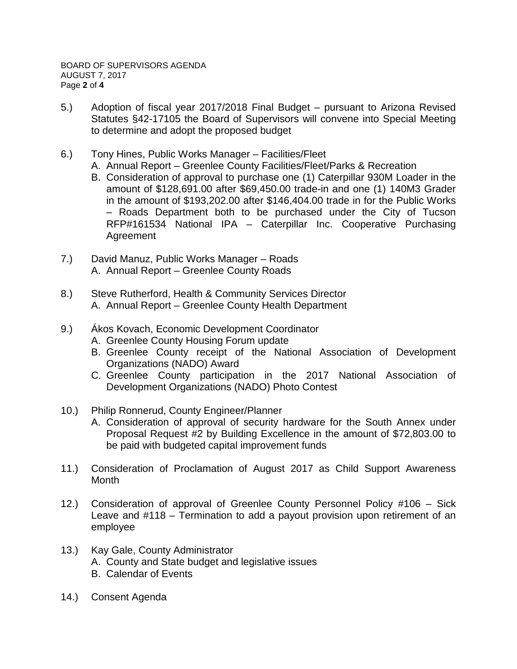- 5.) Adoption of fiscal year 2017/2018 Final Budget pursuant to Arizona Revised Statutes §42-17105 the Board of Supervisors will convene into Special Meeting to determine and adopt the proposed budget
- 6.) Tony Hines, Public Works Manager Facilities/Fleet
	- A. Annual Report Greenlee County Facilities/Fleet/Parks & Recreation
	- B. Consideration of approval to purchase one (1) Caterpillar 930M Loader in the amount of \$128,691.00 after \$69,450.00 trade-in and one (1) 140M3 Grader in the amount of \$193,202.00 after \$146,404.00 trade in for the Public Works – Roads Department both to be purchased under the City of Tucson RFP#161534 National IPA – Caterpillar Inc. Cooperative Purchasing Agreement
- 7.) David Manuz, Public Works Manager Roads A. Annual Report – Greenlee County Roads
- 8.) Steve Rutherford, Health & Community Services Director A. Annual Report – Greenlee County Health Department
- 9.) Ákos Kovach, Economic Development Coordinator
	- A. Greenlee County Housing Forum update
	- B. Greenlee County receipt of the National Association of Development Organizations (NADO) Award
	- C. Greenlee County participation in the 2017 National Association of Development Organizations (NADO) Photo Contest
- 10.) Philip Ronnerud, County Engineer/Planner
	- A. Consideration of approval of security hardware for the South Annex under Proposal Request #2 by Building Excellence in the amount of \$72,803.00 to be paid with budgeted capital improvement funds
- 11.) Consideration of Proclamation of August 2017 as Child Support Awareness Month
- 12.) Consideration of approval of Greenlee County Personnel Policy #106 Sick Leave and #118 – Termination to add a payout provision upon retirement of an employee
- 13.) Kay Gale, County Administrator
	- A. County and State budget and legislative issues
	- B. Calendar of Events
- 14.) Consent Agenda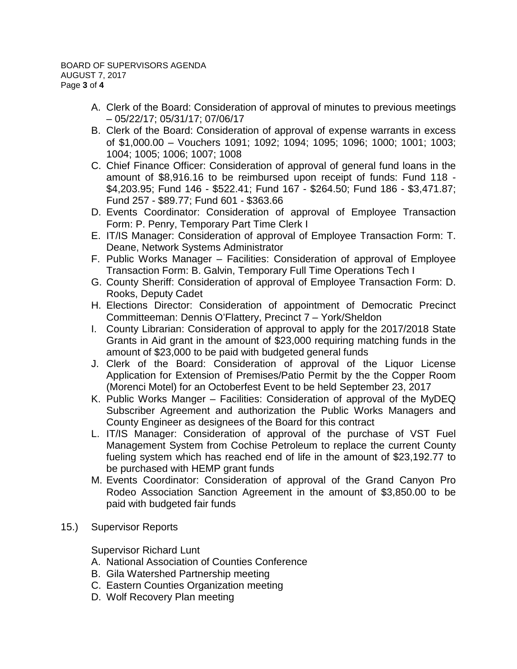- A. Clerk of the Board: Consideration of approval of minutes to previous meetings – 05/22/17; 05/31/17; 07/06/17
- B. Clerk of the Board: Consideration of approval of expense warrants in excess of \$1,000.00 – Vouchers 1091; 1092; 1094; 1095; 1096; 1000; 1001; 1003; 1004; 1005; 1006; 1007; 1008
- C. Chief Finance Officer: Consideration of approval of general fund loans in the amount of \$8,916.16 to be reimbursed upon receipt of funds: Fund 118 - \$4,203.95; Fund 146 - \$522.41; Fund 167 - \$264.50; Fund 186 - \$3,471.87; Fund 257 - \$89.77; Fund 601 - \$363.66
- D. Events Coordinator: Consideration of approval of Employee Transaction Form: P. Penry, Temporary Part Time Clerk I
- E. IT/IS Manager: Consideration of approval of Employee Transaction Form: T. Deane, Network Systems Administrator
- F. Public Works Manager Facilities: Consideration of approval of Employee Transaction Form: B. Galvin, Temporary Full Time Operations Tech I
- G. County Sheriff: Consideration of approval of Employee Transaction Form: D. Rooks, Deputy Cadet
- H. Elections Director: Consideration of appointment of Democratic Precinct Committeeman: Dennis O'Flattery, Precinct 7 – York/Sheldon
- I. County Librarian: Consideration of approval to apply for the 2017/2018 State Grants in Aid grant in the amount of \$23,000 requiring matching funds in the amount of \$23,000 to be paid with budgeted general funds
- J. Clerk of the Board: Consideration of approval of the Liquor License Application for Extension of Premises/Patio Permit by the the Copper Room (Morenci Motel) for an Octoberfest Event to be held September 23, 2017
- K. Public Works Manger Facilities: Consideration of approval of the MyDEQ Subscriber Agreement and authorization the Public Works Managers and County Engineer as designees of the Board for this contract
- L. IT/IS Manager: Consideration of approval of the purchase of VST Fuel Management System from Cochise Petroleum to replace the current County fueling system which has reached end of life in the amount of \$23,192.77 to be purchased with HEMP grant funds
- M. Events Coordinator: Consideration of approval of the Grand Canyon Pro Rodeo Association Sanction Agreement in the amount of \$3,850.00 to be paid with budgeted fair funds
- 15.) Supervisor Reports

Supervisor Richard Lunt

- A. National Association of Counties Conference
- B. Gila Watershed Partnership meeting
- C. Eastern Counties Organization meeting
- D. Wolf Recovery Plan meeting